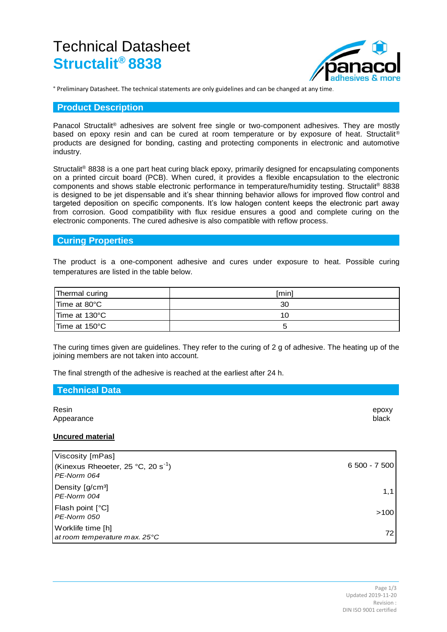# Technical Datasheet **Structalit® 8838**



° Preliminary Datasheet. The technical statements are only guidelines and can be changed at any time.

## **Product Description**

Panacol Structalit® adhesives are solvent free single or two-component adhesives. They are mostly based on epoxy resin and can be cured at room temperature or by exposure of heat. Structalit<sup>®</sup> products are designed for bonding, casting and protecting components in electronic and automotive industry.

Structalit® 8838 is a one part heat curing black epoxy, primarily designed for encapsulating components on a printed circuit board (PCB). When cured, it provides a flexible encapsulation to the electronic components and shows stable electronic performance in temperature/humidity testing. Structalit® 8838 is designed to be jet dispensable and it's shear thinning behavior allows for improved flow control and targeted deposition on specific components. It's low halogen content keeps the electronic part away from corrosion. Good compatibility with flux residue ensures a good and complete curing on the electronic components. The cured adhesive is also compatible with reflow process.

# **Curing Properties**

The product is a one-component adhesive and cures under exposure to heat. Possible curing temperatures are listed in the table below.

| Thermal curing | [min] |
|----------------|-------|
| ITime at 80°C  | 30    |
| ITime at 130°C | 10    |
| ITime at 150°C | G     |

The curing times given are guidelines. They refer to the curing of 2 g of adhesive. The heating up of the joining members are not taken into account.

The final strength of the adhesive is reached at the earliest after 24 h.

| Technical Data          |                |
|-------------------------|----------------|
| Resin<br>Appearance     | epoxy<br>black |
| <b>Uncured material</b> |                |

| Viscosity [mPas]<br>(Kinexus Rheoeter, 25 °C, 20 s <sup>-1</sup> )<br>PE-Norm 064 | $6500 - 7500$ |
|-----------------------------------------------------------------------------------|---------------|
| Density [g/cm <sup>3</sup> ]<br>PE-Norm 004                                       | 1,1           |
| Flash point $[^{\circ}C]$<br>PE-Norm 050                                          | >100          |
| Worklife time [h]<br>at room temperature max. 25°C                                | 72            |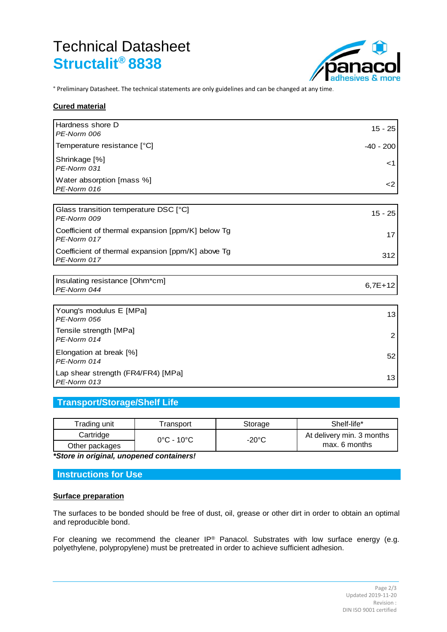# Technical Datasheet **Structalit® 8838**



° Preliminary Datasheet. The technical statements are only guidelines and can be changed at any time.

## **Cured material**

| Hardness shore D<br>PE-Norm 006                                  | $15 - 25$      |
|------------------------------------------------------------------|----------------|
| Temperature resistance [°C]                                      | $-40 - 200$    |
| Shrinkage [%]<br>PE-Norm 031                                     | <1             |
| Water absorption [mass %]<br>PE-Norm 016                         | $<$ 2          |
|                                                                  |                |
| Glass transition temperature DSC [°C]<br>PE-Norm 009             | $15 - 25$      |
| Coefficient of thermal expansion [ppm/K] below Tg<br>PE-Norm 017 | 17             |
| Coefficient of thermal expansion [ppm/K] above Tg<br>PE-Norm 017 | 312            |
|                                                                  |                |
| Insulating resistance [Ohm*cm]<br>PE-Norm 044                    | $6,7E+12$      |
|                                                                  |                |
| Young's modulus E [MPa]<br>PE-Norm 056                           | 13             |
| Tensile strength [MPa]<br>PE-Norm 014                            | $\overline{2}$ |
| Elongation at break [%]<br>PE-Norm 014                           | 52             |
| Lap shear strength (FR4/FR4) [MPa]<br>PE-Norm 013                | 13             |

# **Transport/Storage/Shelf Life**

| Trading unit   | <sup>-</sup> ransport           | Storage | Shelf-life*               |
|----------------|---------------------------------|---------|---------------------------|
| Cartridge      | $0^{\circ}$ C - 10 $^{\circ}$ C | -20°C   | At delivery min. 3 months |
| Other packages |                                 |         | max. 6 months             |

*\*Store in original, unopened containers!*

# **Instructions for Use**

# **Surface preparation**

The surfaces to be bonded should be free of dust, oil, grease or other dirt in order to obtain an optimal and reproducible bond.

For cleaning we recommend the cleaner IP® Panacol. Substrates with low surface energy (e.g. polyethylene, polypropylene) must be pretreated in order to achieve sufficient adhesion.